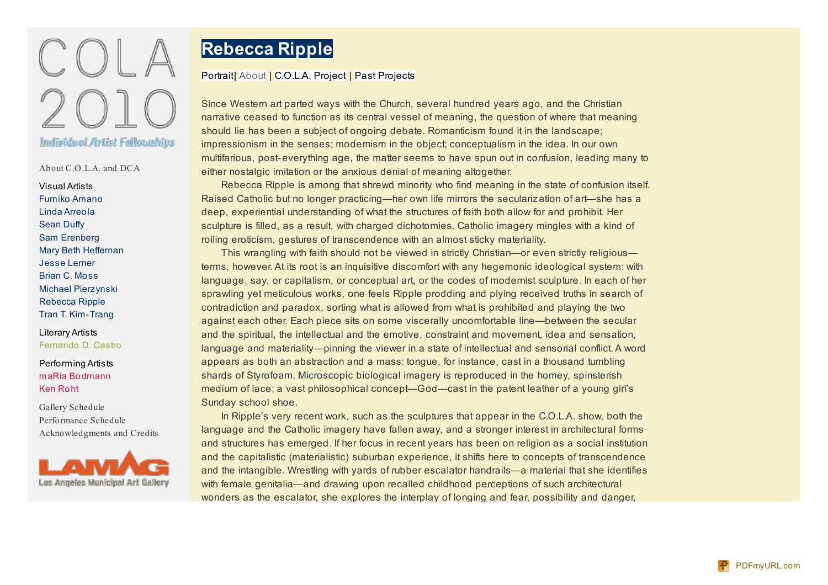

About [C.O.L.A.](http://cola2010.lamag.org/index.php?/cola09/about-cola-and-dca/) and DCA

Visual Artists [Fumiko](http://cola2010.lamag.org/index.php?/visual/fumiko-amano/) Amano Linda [Arreola](http://cola2010.lamag.org/index.php?/visual/linda-arreola/) [Sean](http://cola2010.lamag.org/index.php?/visual/sean-duffy/) Duffy Sam [Erenberg](http://cola2010.lamag.org/index.php?/visual/sam-erenberg/) Mary Beth [Heffernan](http://cola2010.lamag.org/index.php?/visual/mary-beth-heffernan/) Jesse [Lerner](http://cola2010.lamag.org/index.php?/visual/jesse-lerner/) Brian C. [Moss](http://cola2010.lamag.org/index.php?/visual/brian-c-moss/) Michael [Pierzynski](http://cola2010.lamag.org/index.php?/visual/michael-pierzynski/2/) [Rebecca](http://cola2010.lamag.org/index.php?/visual/rebecca-ripple/) Ripple Tran T. [Kim-Trang](http://cola2010.lamag.org/index.php?/visual/tran-t-kim-trang/)

Literary Artists [Fernando](http://cola2010.lamag.org/index.php?/literary/fernando-d-castro/) D. Castro

Performing Artists maRia [Bodmann](http://cola2010.lamag.org/index.php?/performing/maria-bodmann/) Ken [Roht](http://cola2010.lamag.org/index.php?/performing/ken-roht/)

Gallery [Schedule](http://cola2010.lamag.org/index.php?/gallery-schedule/) [Performance](http://cola2010.lamag.org/index.php?/performance-schedule/) Schedule [Acknowledgments](http://cola2010.lamag.org/index.php?/acknowledgments-and-credits/) and Credits



## **Rebecca Ripple**

## [Portrait](http://cola2010.lamag.org/index.php?/visual/rebecca-ripple/) | [About](http://cola2010.lamag.org/index.php?/visual/rebecca-ripple--about/) | [C.O.L.A.](http://cola2010.lamag.org/index.php?/visual/rebecca-ripple--cola-project/) Project | Past [Projects](http://cola2010.lamag.org/index.php?/visual/rebecca-ripple--past-projects/)

Since Western art parted ways with the Church, several hundred years ago, and the Christian narrative ceased to function as its central vessel of meaning, the question of where that meaning should lie has been a subject of ongoing debate. Romanticism found it in the landscape; impressionism in the senses; modernism in the object; conceptualism in the idea. In our own multifarious, post-everything age, the matter seems to have spun out in confusion, leading many to either nostalgic imitation or the anxious denial of meaning altogether.

Rebecca Ripple is among that shrewd minority who find meaning in the state of confusion itself. Raised Catholic but no longer practicing—her own life mirrors the secularization of art—she has a deep, experiential understanding of what the structures of faith both allow for and prohibit. Her sculpture is filled, as a result, with charged dichotomies. Catholic imagery mingles with a kind of roiling eroticism, gestures of transcendence with an almost sticky materiality.

This wrangling with faith should not be viewed in strictly Christian—or even strictly religious terms, however. At its root is an inquisitive discomfort with any hegemonic ideological system: with language, say, or capitalism, or conceptual art, or the codes of modernist sculpture. In each of her sprawling yet meticulous works, one feels Ripple prodding and plying received truths in search of contradiction and paradox, sorting what is allowed from what is prohibited and playing the two against each other. Each piece sits on some viscerally uncomfortable line—between the secular and the spiritual, the intellectual and the emotive, constraint and movement, idea and sensation, language and materiality—pinning the viewer in a state of intellectual and sensorial conflict. A word appears as both an abstraction and a mass: tongue, for instance, cast in a thousand tumbling shards of Styrofoam. Microscopic biological imagery is reproduced in the homey, spinsterish medium of lace; a vast philosophical concept—God—cast in the patent leather of a young girl's Sunday school shoe.

In Ripple's very recent work, such as the sculptures that appear in the C.O.L.A. show, both the language and the Catholic imagery have fallen away, and a stronger interest in architectural forms and structures has emerged. If her focus in recent years has been on religion as a social institution and the capitalistic (materialistic) suburban experience, it shifts here to concepts of transcendence and the intangible. Wrestling with yards of rubber escalator handrails—a material that she identifies with female genitalia—and drawing upon recalled childhood perceptions of such architectural wonders as the escalator, she explores the interplay of longing and fear, possibility and danger,